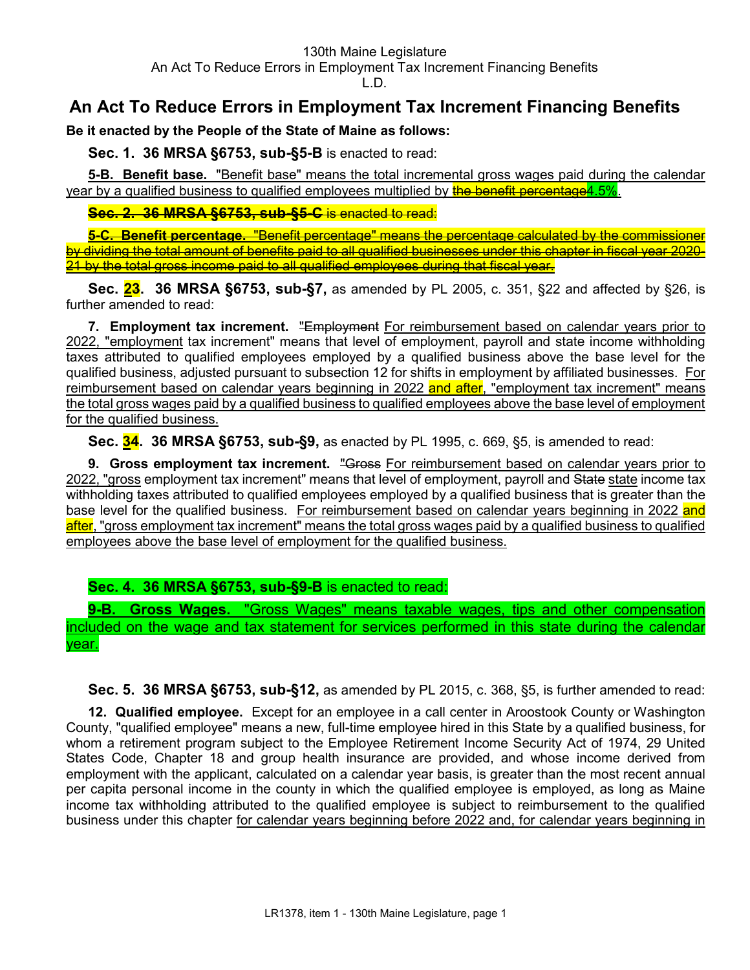# **An Act To Reduce Errors in Employment Tax Increment Financing Benefits**

**Be it enacted by the People of the State of Maine as follows:**

**Sec. 1. 36 MRSA §6753, sub-§5-B** is enacted to read:

**5-B. Benefit base.** "Benefit base" means the total incremental gross wages paid during the calendar year by a qualified business to qualified employees multiplied by **the benefit percentage4.5%**.

**Sec. 2. 36 MRSA §6753, sub-§5-C** is enacted to read:

**5-C. Benefit percentage.** "Benefit percentage" means the percentage calculated by the commissioner by dividing the total amount of benefits paid to all qualified businesses under this chapter in fiscal year 2020- 21 by the total gross income paid to all qualified employees during that fiscal year.

**Sec. 23. 36 MRSA §6753, sub-§7,** as amended by PL 2005, c. 351, §22 and affected by §26, is further amended to read:

**7. Employment tax increment.** "Employment For reimbursement based on calendar years prior to 2022, "employment tax increment" means that level of employment, payroll and state income withholding taxes attributed to qualified employees employed by a qualified business above the base level for the qualified business, adjusted pursuant to subsection 12 for shifts in employment by affiliated businesses. For reimbursement based on calendar years beginning in 2022 and after, "employment tax increment" means the total gross wages paid by a qualified business to qualified employees above the base level of employment for the qualified business.

**Sec. 34. 36 MRSA §6753, sub-§9,** as enacted by PL 1995, c. 669, §5, is amended to read:

**9. Gross employment tax increment.** "Gross For reimbursement based on calendar years prior to 2022, "gross employment tax increment" means that level of employment, payroll and State state income tax withholding taxes attributed to qualified employees employed by a qualified business that is greater than the base level for the qualified business. For reimbursement based on calendar years beginning in 2022 and after, "gross employment tax increment" means the total gross wages paid by a qualified business to qualified employees above the base level of employment for the qualified business.

# **Sec. 4. 36 MRSA §6753, sub-§9-B** is enacted to read:

**9-B. Gross Wages.** "Gross Wages" means taxable wages, tips and other compensation included on the wage and tax statement for services performed in this state during the calendar year.

**Sec. 5. 36 MRSA §6753, sub-§12,** as amended by PL 2015, c. 368, §5, is further amended to read:

**12. Qualified employee.** Except for an employee in a call center in Aroostook County or Washington County, "qualified employee" means a new, full-time employee hired in this State by a qualified business, for whom a retirement program subject to the Employee Retirement Income Security Act of 1974, 29 United States Code, Chapter 18 and group health insurance are provided, and whose income derived from employment with the applicant, calculated on a calendar year basis, is greater than the most recent annual per capita personal income in the county in which the qualified employee is employed, as long as Maine income tax withholding attributed to the qualified employee is subject to reimbursement to the qualified business under this chapter for calendar years beginning before 2022 and, for calendar years beginning in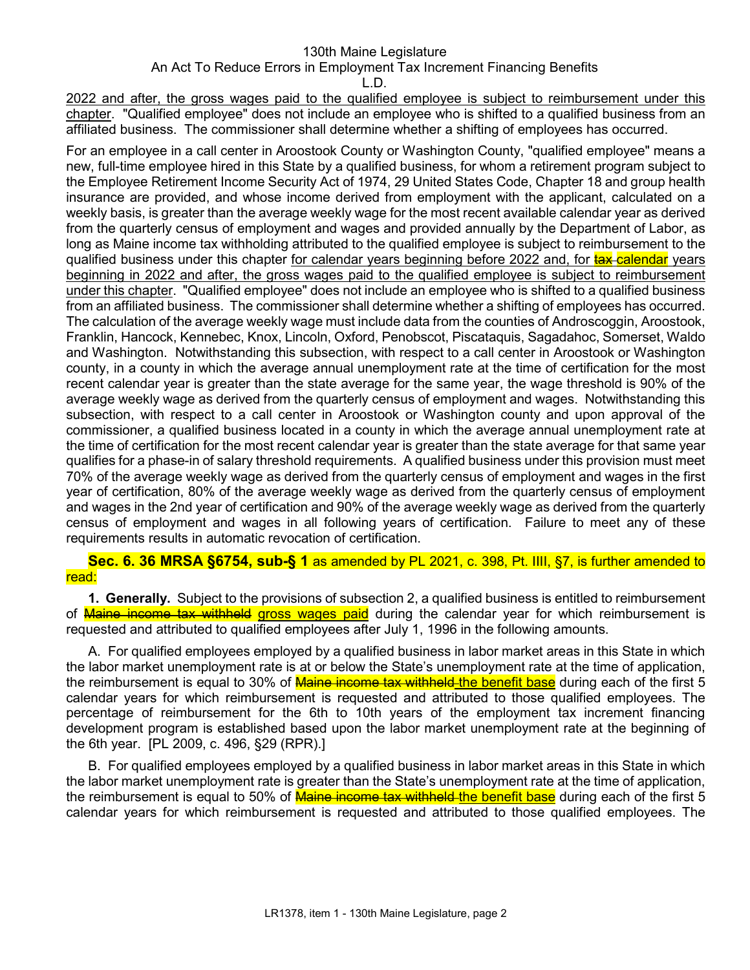## 130th Maine Legislature

## An Act To Reduce Errors in Employment Tax Increment Financing Benefits

L.D.

2022 and after, the gross wages paid to the qualified employee is subject to reimbursement under this chapter. "Qualified employee" does not include an employee who is shifted to a qualified business from an affiliated business. The commissioner shall determine whether a shifting of employees has occurred.

For an employee in a call center in Aroostook County or Washington County, "qualified employee" means a new, full-time employee hired in this State by a qualified business, for whom a retirement program subject to the Employee Retirement Income Security Act of 1974, 29 United States Code, Chapter 18 and group health insurance are provided, and whose income derived from employment with the applicant, calculated on a weekly basis, is greater than the average weekly wage for the most recent available calendar year as derived from the quarterly census of employment and wages and provided annually by the Department of Labor, as long as Maine income tax withholding attributed to the qualified employee is subject to reimbursement to the qualified business under this chapter for calendar years beginning before 2022 and, for tax-calendar years beginning in 2022 and after, the gross wages paid to the qualified employee is subject to reimbursement under this chapter. "Qualified employee" does not include an employee who is shifted to a qualified business from an affiliated business. The commissioner shall determine whether a shifting of employees has occurred. The calculation of the average weekly wage must include data from the counties of Androscoggin, Aroostook, Franklin, Hancock, Kennebec, Knox, Lincoln, Oxford, Penobscot, Piscataquis, Sagadahoc, Somerset, Waldo and Washington. Notwithstanding this subsection, with respect to a call center in Aroostook or Washington county, in a county in which the average annual unemployment rate at the time of certification for the most recent calendar year is greater than the state average for the same year, the wage threshold is 90% of the average weekly wage as derived from the quarterly census of employment and wages. Notwithstanding this subsection, with respect to a call center in Aroostook or Washington county and upon approval of the commissioner, a qualified business located in a county in which the average annual unemployment rate at the time of certification for the most recent calendar year is greater than the state average for that same year qualifies for a phase-in of salary threshold requirements. A qualified business under this provision must meet 70% of the average weekly wage as derived from the quarterly census of employment and wages in the first year of certification, 80% of the average weekly wage as derived from the quarterly census of employment and wages in the 2nd year of certification and 90% of the average weekly wage as derived from the quarterly census of employment and wages in all following years of certification. Failure to meet any of these requirements results in automatic revocation of certification.

**Sec. 6. 36 MRSA §6754, sub-§ 1** as amended by PL 2021, c. 398, Pt. IIII, §7, is further amended to read:

**1. Generally.** Subject to the provisions of subsection 2, a qualified business is entitled to reimbursement of **Maine income tax withheld gross wages paid** during the calendar year for which reimbursement is requested and attributed to qualified employees after July 1, 1996 in the following amounts.

A. For qualified employees employed by a qualified business in labor market areas in this State in which the labor market unemployment rate is at or below the State's unemployment rate at the time of application, the reimbursement is equal to 30% of **Maine income tax withheld** the benefit base during each of the first 5 calendar years for which reimbursement is requested and attributed to those qualified employees. The percentage of reimbursement for the 6th to 10th years of the employment tax increment financing development program is established based upon the labor market unemployment rate at the beginning of the 6th year. [PL 2009, c. 496, §29 (RPR).]

B. For qualified employees employed by a qualified business in labor market areas in this State in which the labor market unemployment rate is greater than the State's unemployment rate at the time of application, the reimbursement is equal to 50% of **Maine income tax withheld the benefit base** during each of the first 5 calendar years for which reimbursement is requested and attributed to those qualified employees. The